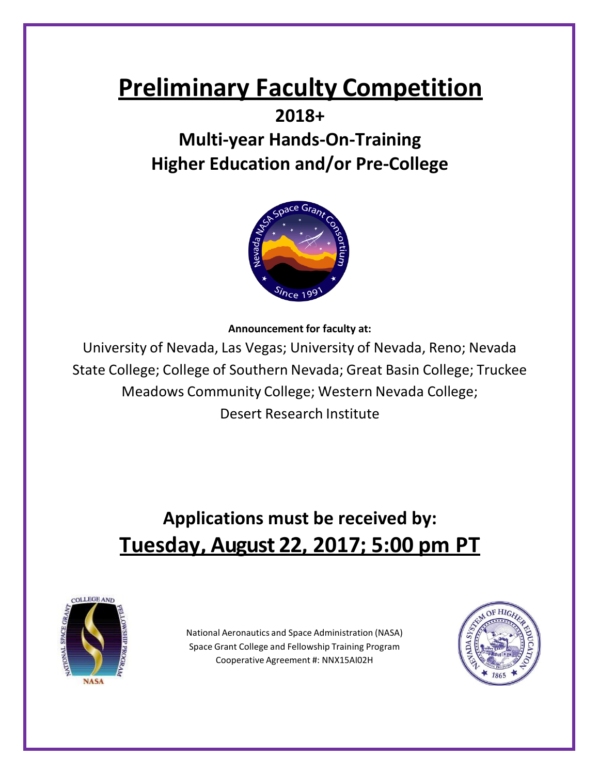# **Preliminary Faculty Competition**

### **2018+**

## **Multi-year Hands-On-Training Higher Education and/or Pre-College**



**Announcement for faculty at:**

University of Nevada, Las Vegas; University of Nevada, Reno; Nevada State College; College of Southern Nevada; Great Basin College; Truckee Meadows Community College; Western Nevada College; Desert Research Institute

# **Applications must be received by: Tuesday, August 22, 2017; 5:00 pm PT**



National Aeronautics and Space Administration (NASA) Space Grant College and Fellowship Training Program Cooperative Agreement #: NNX15AI02H

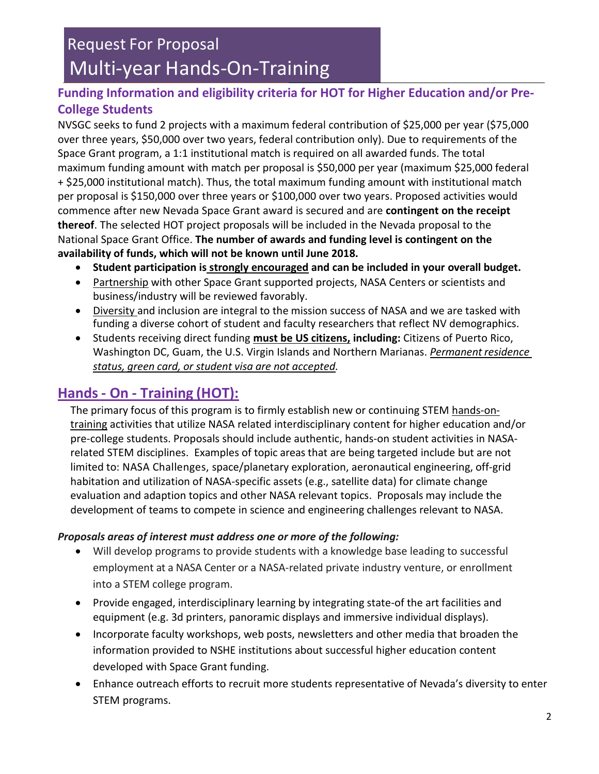### **Funding Information and eligibility criteria for HOT for Higher Education and/or Pre-College Students**

NVSGC seeks to fund 2 projects with a maximum federal contribution of \$25,000 per year (\$75,000 over three years, \$50,000 over two years, federal contribution only). Due to requirements of the Space Grant program, a 1:1 institutional match is required on all awarded funds. The total maximum funding amount with match per proposal is \$50,000 per year (maximum \$25,000 federal + \$25,000 institutional match). Thus, the total maximum funding amount with institutional match per proposal is \$150,000 over three years or \$100,000 over two years. Proposed activities would commence after new Nevada Space Grant award is secured and are **contingent on the receipt thereof**. The selected HOT project proposals will be included in the Nevada proposal to the National Space Grant Office. **The number of awards and funding level is contingent on the availability of funds, which will not be known until June 2018.**

- **Student participation is strongly encouraged and can be included in your overall budget.**
- Partnership with other Space Grant supported projects, NASA Centers or scientists and business/industry will be reviewed favorably.
- Diversity and inclusion are integral to the mission success of NASA and we are tasked with funding a diverse cohort of student and faculty researchers that reflect NV demographics.
- Students receiving direct funding **must be US citizens, including:** Citizens of Puerto Rico, Washington DC, Guam, the U.S. Virgin Islands and Northern Marianas. *Permanent residence status, green card, or student visa are not accepted.*

### **Hands- On - Training (HOT):**

The primary focus of this program is to firmly establish new or continuing STEM hands-ontraining activities that utilize NASA related interdisciplinary content for higher education and/or pre-college students. Proposals should include authentic, hands-on student activities in NASArelated STEM disciplines. Examples of topic areas that are being targeted include but are not limited to: NASA Challenges, space/planetary exploration, aeronautical engineering, off-grid habitation and utilization of NASA-specific assets (e.g., satellite data) for climate change evaluation and adaption topics and other NASA relevant topics. Proposals may include the development of teams to compete in science and engineering challenges relevant to NASA.

#### *Proposals areas of interest must address one or more of the following:*

- Will develop programs to provide students with a knowledge base leading to successful employment at a NASA Center or a NASA-related private industry venture, or enrollment into a STEM college program.
- Provide engaged, interdisciplinary learning by integrating state-of the art facilities and equipment (e.g. 3d printers, panoramic displays and immersive individual displays).
- Incorporate faculty workshops, web posts, newsletters and other media that broaden the information provided to NSHE institutions about successful higher education content developed with Space Grant funding.
- Enhance outreach efforts to recruit more students representative of Nevada's diversity to enter STEM programs.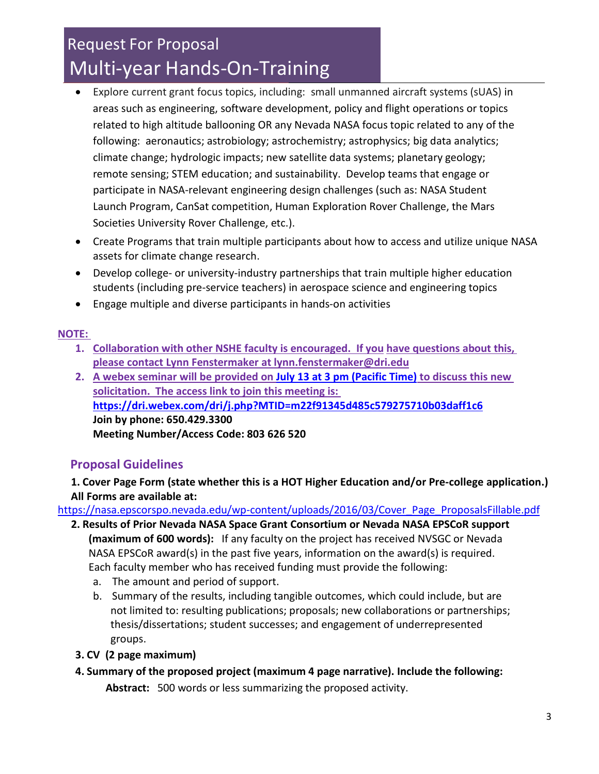- Explore current grant focus topics, including: small unmanned aircraft systems (sUAS) in areas such as engineering, software development, policy and flight operations or topics related to high altitude ballooning OR any Nevada NASA focus topic related to any of the following: aeronautics; astrobiology; astrochemistry; astrophysics; big data analytics; climate change; hydrologic impacts; new satellite data systems; planetary geology; remote sensing; STEM education; and sustainability. Develop teams that engage or participate in NASA-relevant engineering design challenges (such as: NASA Student Launch Program, CanSat competition, Human Exploration Rover Challenge, the Mars Societies University Rover Challenge, etc.).
- Create Programs that train multiple participants about how to access and utilize unique NASA assets for climate change research.
- Develop college- or university-industry partnerships that train multiple higher education students (including pre-service teachers) in aerospace science and engineering topics
- Engage multiple and diverse participants in hands-on activities

#### **NOTE:**

- **1. Collaboration with other NSHE faculty is encouraged. If you have questions about this, please contact Lynn Fenstermaker at [lynn.fenstermaker@dri.edu](mailto:lynn.fenstermaker@dri.edu)**
- **2. A webex seminar will be provided on July 13 [at 3 pm \(Pacific Time\)](https://dri.webex.com/dri/j.php?MTID=m22f91345d485c579275710b03daff1c6) to discuss this new solicitation. The access link to join this meeting is: <https://dri.webex.com/dri/j.php?MTID=m22f91345d485c579275710b03daff1c6> Join by phone: 650.429.3300 Meeting Number/Access Code: 803 626 520**

#### **Proposal Guidelines**

**1. Cover Page Form (state whether this is a HOT Higher Education and/or Pre-college application.) All Forms are available at:**

[https://nasa.epscorspo.nevada.edu/wp-content/uploads/2016/03/Cover\\_Page\\_ProposalsFillable.pdf](https://nasa.epscorspo.nevada.edu/wp-content/uploads/2016/03/Cover_Page_ProposalsFillable.pdf)

- **2. Results of Prior Nevada NASA Space Grant Consortium or Nevada NASA EPSCoR support (maximum of 600 words):** If any faculty on the project has received NVSGC or Nevada NASA EPSCoR award(s) in the past five years, information on the award(s) is required. Each faculty member who has received funding must provide the following:
	- a. The amount and period of support.
	- b. Summary of the results, including tangible outcomes, which could include, but are not limited to: resulting publications; proposals; new collaborations or partnerships; thesis/dissertations; student successes; and engagement of underrepresented groups.
	- **3. CV (2 page maximum)**
	- **4. Summary of the proposed project (maximum 4 page narrative). Include the following: Abstract:** 500 words or less summarizing the proposed activity.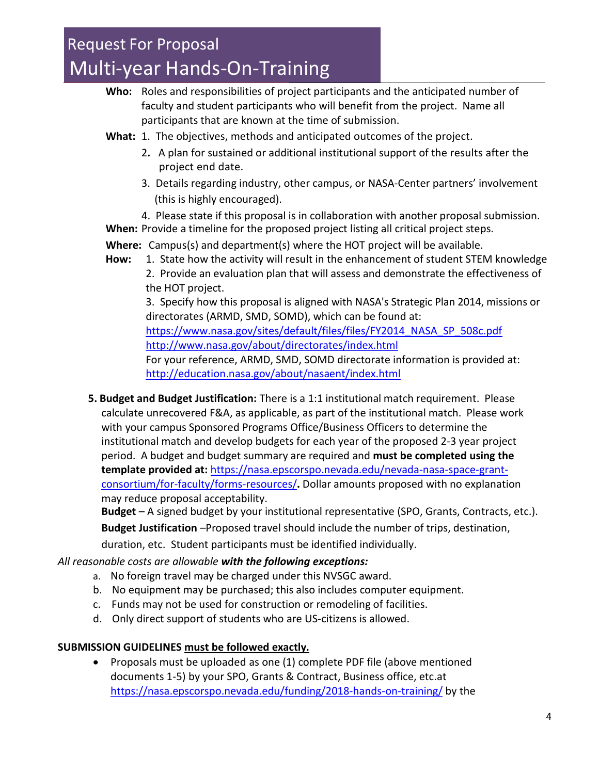- **Who:** Roles and responsibilities of project participants and the anticipated number of faculty and student participants who will benefit from the project. Name all participants that are known at the time of submission.
- **What:** 1. The objectives, methods and anticipated outcomes of the project.
	- 2**.** A plan for sustained or additional institutional support of the results after the project end date.
	- 3. Details regarding industry, other campus, or NASA-Center partners' involvement (this is highly encouraged).
- 4. Please state if this proposal is in collaboration with another proposal submission. **When:** Provide a timeline for the proposed project listing all critical project steps.
- **Where:** Campus(s) and department(s) where the HOT project will be available.
- **How:** 1. State how the activity will result in the enhancement of student STEM knowledge 2. Provide an evaluation plan that will assess and demonstrate the effectiveness of the HOT project.

3. Specify how this proposal is aligned with NASA's Strategic Plan 2014, missions or directorates (ARMD, SMD, SOMD), which can be found at:

[https://www.nasa.gov/sites/default/files/files/FY2014\\_NASA\\_SP\\_508c.pdf](https://www.nasa.gov/sites/default/files/files/FY2014_NASA_SP_508c.pdf) <http://www.nasa.gov/about/directorates/index.html>

For your reference, ARMD, SMD, SOMD directorate information is provided at: <http://education.nasa.gov/about/nasaent/index.html>

**5. Budget and Budget Justification:** There is a 1:1 institutional match requirement. Please calculate unrecovered F&A, as applicable, as part of the institutional match. Please work with your campus Sponsored Programs Office/Business Officers to determine the institutional match and develop budgets for each year of the proposed 2-3 year project period. A budget and budget summary are required and **must be completed using the template provided at:** [https://nasa.epscorspo.nevada.edu/nevada-nasa-space-grant](https://nasa.epscorspo.nevada.edu/nevada-nasa-space-grant-consortium/for-faculty/forms-resources/)[consortium/for-faculty/forms-resources/](https://nasa.epscorspo.nevada.edu/nevada-nasa-space-grant-consortium/for-faculty/forms-resources/)**.** Dollar amounts proposed with no explanation may reduce proposal acceptability.

**Budget** – A signed budget by your institutional representative (SPO, Grants, Contracts, etc.). **Budget Justification** –Proposed travel should include the number of trips, destination,

duration, etc. Student participants must be identified individually.

#### *All reasonable costs are allowable with the following exceptions:*

- a. No foreign travel may be charged under this NVSGC award.
- b. No equipment may be purchased; this also includes computer equipment.
- c. Funds may not be used for construction or remodeling of facilities.
- d. Only direct support of students who are US-citizens is allowed.

#### **SUBMISSION GUIDELINES must be followed exactly.**

• Proposals must be uploaded as one (1) complete PDF file (above mentioned documents 1-5) by your SPO, Grants & Contract, Business office, etc.at <https://nasa.epscorspo.nevada.edu/funding/2018-hands-on-training/> by the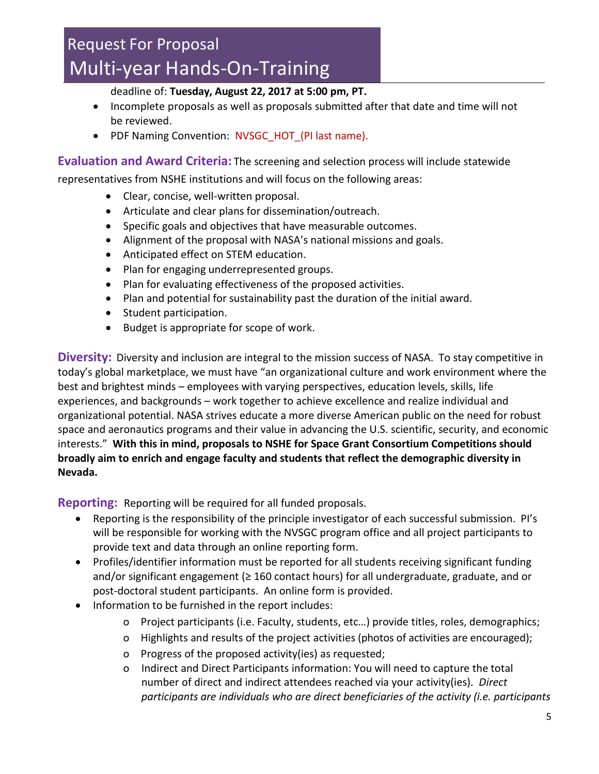deadline of: **Tuesday, August 22, 2017 at 5:00 pm, PT.**

- Incomplete proposals as well as proposals submitted after that date and time will not be reviewed.
- PDF Naming Convention: NVSGC HOT (PI last name).

**Evaluation and Award Criteria:** The screening and selection process will include statewide

representatives from NSHE institutions and will focus on the following areas:

- Clear, concise, well-written proposal.
- Articulate and clear plans for dissemination/outreach.
- Specific goals and objectives that have measurable outcomes.
- Alignment of the proposal with NASA's national missions and goals.
- Anticipated effect on STEM education.
- Plan for engaging underrepresented groups.
- Plan for evaluating effectiveness of the proposed activities.
- Plan and potential for sustainability past the duration of the initial award.
- Student participation.
- Budget is appropriate for scope of work.

**Diversity:** Diversity and inclusion are integral to the mission success of NASA. To stay competitive in today's global marketplace, we must have "an organizational culture and work environment where the best and brightest minds – employees with varying perspectives, education levels, skills, life experiences, and backgrounds – work together to achieve excellence and realize individual and organizational potential. NASA strives educate a more diverse American public on the need for robust space and aeronautics programs and their value in advancing the U.S. scientific, security, and economic interests." **With this in mind, proposals to NSHE for Space Grant Consortium Competitions should broadly aim to enrich and engage faculty and students that reflect the demographic diversity in Nevada.**

**Reporting:** Reporting will be required for all funded proposals.

- Reporting is the responsibility of the principle investigator of each successful submission. PI's will be responsible for working with the NVSGC program office and all project participants to provide text and data through an online reporting form.
- Profiles/identifier information must be reported for all students receiving significant funding and/or significant engagement ( $\geq 160$  contact hours) for all undergraduate, graduate, and or post-doctoral student participants. An online form is provided.
- Information to be furnished in the report includes:
	- o Project participants (i.e. Faculty, students, etc…) provide titles, roles, demographics;
	- o Highlights and results of the project activities (photos of activities are encouraged);
	- o Progress of the proposed activity(ies) as requested;
	- o Indirect and Direct Participants information: You will need to capture the total number of direct and indirect attendees reached via your activity(ies). *Direct participants are individuals who are direct beneficiaries of the activity (i.e. participants*